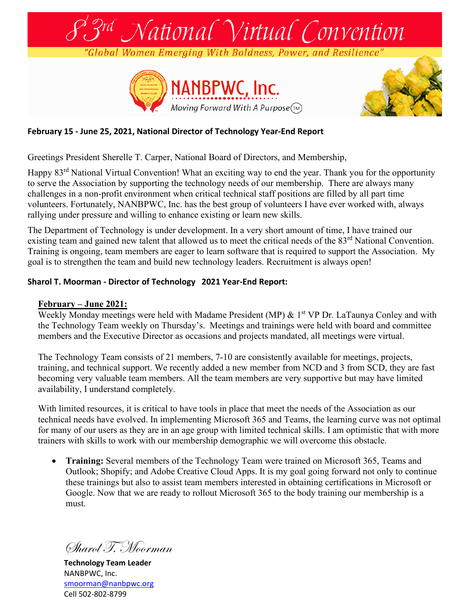

## **February 15 - June 25, 2021, National Director of Technology Year-End Report**

Greetings President Sherelle T. Carper, National Board of Directors, and Membership,

Happy 83<sup>rd</sup> National Virtual Convention! What an exciting way to end the year. Thank you for the opportunity to serve the Association by supporting the technology needs of our membership. There are always many challenges in a non-profit environment when critical technical staff positions are filled by all part time volunteers. Fortunately, NANBPWC, Inc. has the best group of volunteers I have ever worked with, always rallying under pressure and willing to enhance existing or learn new skills.

The Department of Technology is under development. In a very short amount of time, I have trained our existing team and gained new talent that allowed us to meet the critical needs of the 83<sup>rd</sup> National Convention. Training is ongoing, team members are eager to learn software that is required to support the Association. My goal is to strengthen the team and build new technology leaders. Recruitment is always open!

## **Sharol T. Moorman - Director of Technology 2021 Year-End Report:**

## **February – June 2021:**

Weekly Monday meetings were held with Madame President (MP)  $\&$  1<sup>st</sup> VP Dr. LaTaunya Conley and with the Technology Team weekly on Thursday's. Meetings and trainings were held with board and committee members and the Executive Director as occasions and projects mandated, all meetings were virtual.

The Technology Team consists of 21 members, 7-10 are consistently available for meetings, projects, training, and technical support. We recently added a new member from NCD and 3 from SCD, they are fast becoming very valuable team members. All the team members are very supportive but may have limited availability, I understand completely.

With limited resources, it is critical to have tools in place that meet the needs of the Association as our technical needs have evolved. In implementing Microsoft 365 and Teams, the learning curve was not optimal for many of our users as they are in an age group with limited technical skills. I am optimistic that with more trainers with skills to work with our membership demographic we will overcome this obstacle.

• **Training:** Several members of the Technology Team were trained on Microsoft 365, Teams and Outlook; Shopify; and Adobe Creative Cloud Apps. It is my goal going forward not only to continue these trainings but also to assist team members interested in obtaining certifications in Microsoft or Google. Now that we are ready to rollout Microsoft 365 to the body training our membership is a must.

Sharol T. Moorman

**Technology Team Leader** NANBPWC, Inc. [smoorman@nanbpwc.org](mailto:smoorman@nanbpwc.org) Cell 502-802-8799